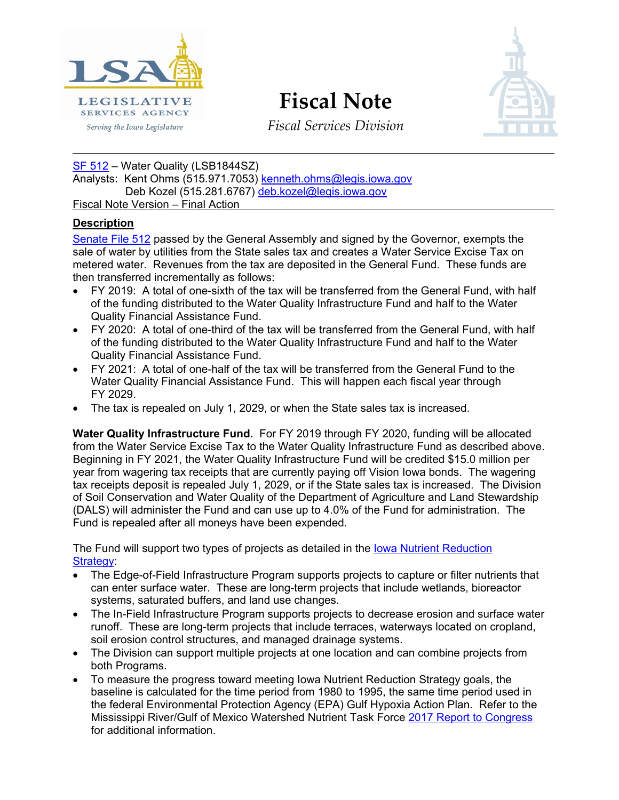

**Fiscal Note**



*Fiscal Services Division*

[SF 512](https://www.legis.iowa.gov/legislation/BillBook?ga=87&ba=SF512) - Water Quality (LSB1844SZ)

Analysts: Kent Ohms (515.971.7053) [kenneth.ohms@legis.iowa.gov](mailto:kenneth.ohms@legis.iowa.gov) Deb Kozel (515.281.6767) [deb.kozel@legis.iowa.gov](mailto:deb.kozel@legis.iowa.gov)

Fiscal Note Version – Final Action

## **Description**

[Senate File](https://www.legis.iowa.gov/legislation/BillBook?ga=87&ba=sf512) 512 passed by the General Assembly and signed by the Governor, exempts the sale of water by utilities from the State sales tax and creates a Water Service Excise Tax on metered water. Revenues from the tax are deposited in the General Fund. These funds are then transferred incrementally as follows:

- FY 2019: A total of one-sixth of the tax will be transferred from the General Fund, with half of the funding distributed to the Water Quality Infrastructure Fund and half to the Water Quality Financial Assistance Fund.
- FY 2020: A total of one-third of the tax will be transferred from the General Fund, with half of the funding distributed to the Water Quality Infrastructure Fund and half to the Water Quality Financial Assistance Fund.
- FY 2021: A total of one-half of the tax will be transferred from the General Fund to the Water Quality Financial Assistance Fund. This will happen each fiscal year through FY 2029.
- The tax is repealed on July 1, 2029, or when the State sales tax is increased.

**Water Quality Infrastructure Fund.** For FY 2019 through FY 2020, funding will be allocated from the Water Service Excise Tax to the Water Quality Infrastructure Fund as described above. Beginning in FY 2021, the Water Quality Infrastructure Fund will be credited \$15.0 million per year from wagering tax receipts that are currently paying off Vision Iowa bonds. The wagering tax receipts deposit is repealed July 1, 2029, or if the State sales tax is increased. The Division of Soil Conservation and Water Quality of the Department of Agriculture and Land Stewardship (DALS) will administer the Fund and can use up to 4.0% of the Fund for administration. The Fund is repealed after all moneys have been expended.

The Fund will support two types of projects as detailed in the [Iowa Nutrient Reduction](http://www.nutrientstrategy.iastate.edu/) [Strategy:](http://www.nutrientstrategy.iastate.edu/)

- The Edge-of-Field Infrastructure Program supports projects to capture or filter nutrients that can enter surface water. These are long-term projects that include wetlands, bioreactor systems, saturated buffers, and land use changes.
- The In-Field Infrastructure Program supports projects to decrease erosion and surface water runoff. These are long-term projects that include terraces, waterways located on cropland, soil erosion control structures, and managed drainage systems.
- The Division can support multiple projects at one location and can combine projects from both Programs.
- To measure the progress toward meeting Iowa Nutrient Reduction Strategy goals, the baseline is calculated for the time period from 1980 to 1995, the same time period used in the federal Environmental Protection Agency (EPA) Gulf Hypoxia Action Plan. Refer to the Mississippi River/Gulf of Mexico Watershed Nutrient Task Force 2017 [Report to Congress](https://www.epa.gov/sites/production/files/2017-11/documents/hypoxia_task_force_report_to_congress_2017_final.pdf) for additional information.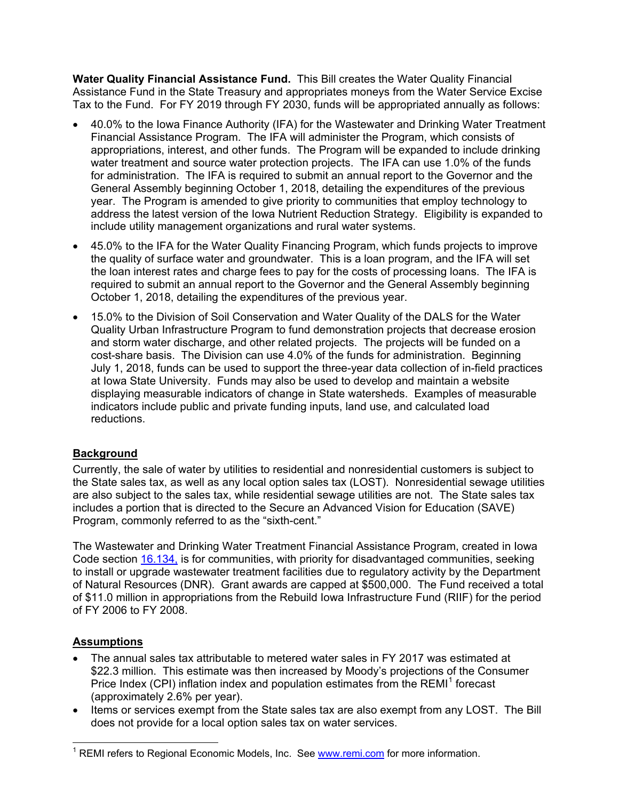**Water Quality Financial Assistance Fund.** This Bill creates the Water Quality Financial Assistance Fund in the State Treasury and appropriates moneys from the Water Service Excise Tax to the Fund. For FY 2019 through FY 2030, funds will be appropriated annually as follows:

- 40.0% to the Iowa Finance Authority (IFA) for the Wastewater and Drinking Water Treatment Financial Assistance Program. The IFA will administer the Program, which consists of appropriations, interest, and other funds. The Program will be expanded to include drinking water treatment and source water protection projects. The IFA can use 1.0% of the funds for administration. The IFA is required to submit an annual report to the Governor and the General Assembly beginning October 1, 2018, detailing the expenditures of the previous year. The Program is amended to give priority to communities that employ technology to address the latest version of the Iowa Nutrient Reduction Strategy. Eligibility is expanded to include utility management organizations and rural water systems.
- 45.0% to the IFA for the Water Quality Financing Program, which funds projects to improve the quality of surface water and groundwater. This is a loan program, and the IFA will set the loan interest rates and charge fees to pay for the costs of processing loans. The IFA is required to submit an annual report to the Governor and the General Assembly beginning October 1, 2018, detailing the expenditures of the previous year.
- 15.0% to the Division of Soil Conservation and Water Quality of the DALS for the Water Quality Urban Infrastructure Program to fund demonstration projects that decrease erosion and storm water discharge, and other related projects. The projects will be funded on a cost-share basis. The Division can use 4.0% of the funds for administration. Beginning July 1, 2018, funds can be used to support the three-year data collection of in-field practices at Iowa State University. Funds may also be used to develop and maintain a website displaying measurable indicators of change in State watersheds. Examples of measurable indicators include public and private funding inputs, land use, and calculated load reductions.

## **Background**

Currently, the sale of water by utilities to residential and nonresidential customers is subject to the State sales tax, as well as any local option sales tax (LOST). Nonresidential sewage utilities are also subject to the sales tax, while residential sewage utilities are not. The State sales tax includes a portion that is directed to the Secure an Advanced Vision for Education (SAVE) Program, commonly referred to as the "sixth-cent."

The Wastewater and Drinking Water Treatment Financial Assistance Program, created in Iowa Code section [16.134,](https://www.legis.iowa.gov/docs/code/16.134.pdf) is for communities, with priority for disadvantaged communities, seeking to install or upgrade wastewater treatment facilities due to regulatory activity by the Department of Natural Resources (DNR). Grant awards are capped at \$500,000. The Fund received a total of \$11.0 million in appropriations from the Rebuild Iowa Infrastructure Fund (RIIF) for the period of FY 2006 to FY 2008.

## **Assumptions**

- The annual sales tax attributable to metered water sales in FY 2017 was estimated at \$22.3 million. This estimate was then increased by Moody's projections of the Consumer Price Index (CPI) inflation index and population estimates from the  $REMI<sup>1</sup>$  $REMI<sup>1</sup>$  $REMI<sup>1</sup>$  forecast (approximately 2.6% per year).
- Items or services exempt from the State sales tax are also exempt from any LOST. The Bill does not provide for a local option sales tax on water services.

<span id="page-1-0"></span> $<sup>1</sup>$  REMI refers to Regional Economic Models, Inc. See [www.remi.com](http://www.remi.com/) for more information.</sup>  $\overline{\phantom{a}}$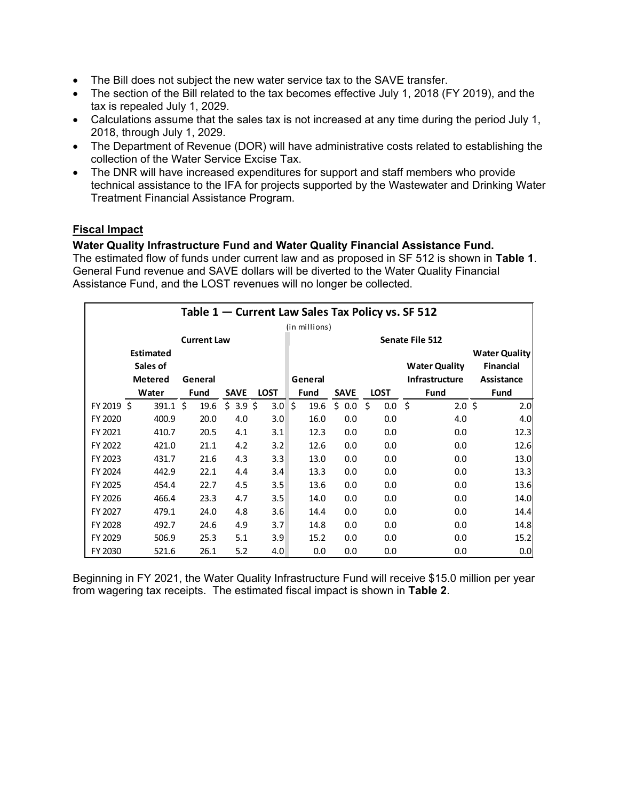- The Bill does not subject the new water service tax to the SAVE transfer.
- The section of the Bill related to the tax becomes effective July 1, 2018 (FY 2019), and the tax is repealed July 1, 2029.
- Calculations assume that the sales tax is not increased at any time during the period July 1, 2018, through July 1, 2029.
- The Department of Revenue (DOR) will have administrative costs related to establishing the collection of the Water Service Excise Tax.
- The DNR will have increased expenditures for support and staff members who provide technical assistance to the IFA for projects supported by the Wastewater and Drinking Water Treatment Financial Assistance Program.

# **Fiscal Impact**

## **Water Quality Infrastructure Fund and Water Quality Financial Assistance Fund.**

The estimated flow of funds under current law and as proposed in SF 512 is shown in **Table 1**. General Fund revenue and SAVE dollars will be diverted to the Water Quality Financial Assistance Fund, and the LOST revenues will no longer be collected.

| Table 1 – Current Law Sales Tax Policy vs. SF 512 |                    |             |                 |             |              |             |                   |                      |                      |  |  |  |
|---------------------------------------------------|--------------------|-------------|-----------------|-------------|--------------|-------------|-------------------|----------------------|----------------------|--|--|--|
| (in millions)                                     |                    |             |                 |             |              |             |                   |                      |                      |  |  |  |
|                                                   | <b>Current Law</b> |             | Senate File 512 |             |              |             |                   |                      |                      |  |  |  |
| <b>Estimated</b>                                  |                    |             |                 |             |              |             |                   |                      | <b>Water Quality</b> |  |  |  |
| Sales of                                          |                    |             |                 |             |              |             |                   | <b>Water Quality</b> | <b>Financial</b>     |  |  |  |
|                                                   | <b>Metered</b>     | General     |                 |             | General      |             |                   | Infrastructure       | Assistance           |  |  |  |
|                                                   | Water              | <b>Fund</b> | <b>SAVE</b>     | <b>LOST</b> | <b>Fund</b>  | <b>SAVE</b> | <b>LOST</b>       | Fund                 | <b>Fund</b>          |  |  |  |
| FY 2019 \$                                        | $391.1 \pm 5$      | 19.6        | $$3.9$ \$       | 3.0         | ¶\$∥<br>19.6 | \$0.0       | $0.0 \,$ \$<br>Ŝ. | $2.0 \; \text{S}$    | 2.0                  |  |  |  |
| FY 2020                                           | 400.9              | 20.0        | 4.0             | 3.0         | 16.0         | 0.0         | 0.0               | 4.0                  | 4.0                  |  |  |  |
| FY 2021                                           | 410.7              | 20.5        | 4.1             | 3.1         | 12.3         | 0.0         | 0.0               | 0.0                  | 12.3                 |  |  |  |
| FY 2022                                           | 421.0              | 21.1        | 4.2             | 3.2         | 12.6         | 0.0         | 0.0               | 0.0                  | 12.6                 |  |  |  |
| FY 2023                                           | 431.7              | 21.6        | 4.3             | 3.3         | 13.0         | 0.0         | 0.0               | 0.0                  | 13.0                 |  |  |  |
| FY 2024                                           | 442.9              | 22.1        | 4.4             | 3.4         | 13.3         | 0.0         | 0.0               | 0.0                  | 13.3                 |  |  |  |
| FY 2025                                           | 454.4              | 22.7        | 4.5             | 3.5         | 13.6         | 0.0         | 0.0               | 0.0                  | 13.6                 |  |  |  |
| FY 2026                                           | 466.4              | 23.3        | 4.7             | 3.5         | 14.0         | 0.0         | 0.0               | 0.0                  | 14.0                 |  |  |  |
| FY 2027                                           | 479.1              | 24.0        | 4.8             | 3.6         | 14.4         | 0.0         | 0.0               | 0.0                  | 14.4                 |  |  |  |
| FY 2028                                           | 492.7              | 24.6        | 4.9             | 3.7         | 14.8         | 0.0         | 0.0               | 0.0                  | 14.8                 |  |  |  |
| FY 2029                                           | 506.9              | 25.3        | 5.1             | 3.9         | 15.2         | 0.0         | 0.0               | 0.0                  | 15.2                 |  |  |  |
| FY 2030                                           | 521.6              | 26.1        | 5.2             | 4.0         | 0.0          | 0.0         | 0.0               | 0.0                  | 0.0                  |  |  |  |

Beginning in FY 2021, the Water Quality Infrastructure Fund will receive \$15.0 million per year from wagering tax receipts. The estimated fiscal impact is shown in **Table 2**.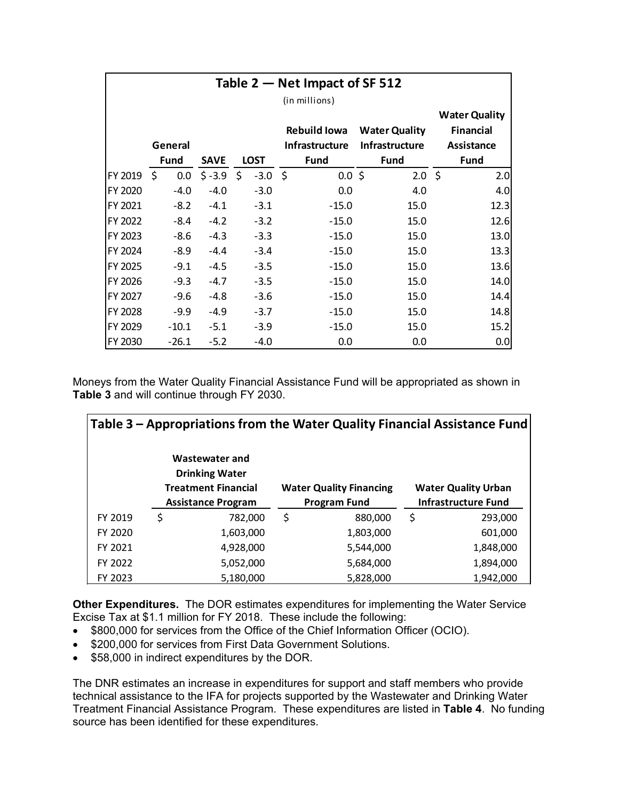| Table $2$ – Net Impact of SF 512 |             |             |                          |  |                       |                       |                  |  |  |  |  |
|----------------------------------|-------------|-------------|--------------------------|--|-----------------------|-----------------------|------------------|--|--|--|--|
| (in millions)                    |             |             |                          |  |                       |                       |                  |  |  |  |  |
|                                  |             |             |                          |  |                       |                       |                  |  |  |  |  |
|                                  |             |             |                          |  | <b>Rebuild Iowa</b>   | <b>Water Quality</b>  | <b>Financial</b> |  |  |  |  |
|                                  | General     |             |                          |  | <b>Infrastructure</b> | <b>Infrastructure</b> | Assistance       |  |  |  |  |
|                                  | <b>Fund</b> | <b>SAVE</b> | <b>LOST</b>              |  | <b>Fund</b>           | <b>Fund</b>           | <b>Fund</b>      |  |  |  |  |
| FY 2019 \$                       |             |             | $0.0$ \$ -3.9 \$ -3.0 \$ |  | $0.0 \,$ \$           | $2.0 \pm$             | 2.0              |  |  |  |  |
| FY 2020                          | $-4.0$      | $-4.0$      | $-3.0$                   |  | 0.0                   | 4.0                   | 4.0              |  |  |  |  |
| FY 2021                          | $-8.2$      | $-4.1$      | $-3.1$                   |  | $-15.0$               | 15.0                  | 12.3             |  |  |  |  |
| FY 2022                          | $-8.4$      | $-4.2$      | $-3.2$                   |  | $-15.0$               | 15.0                  | 12.6             |  |  |  |  |
| FY 2023                          | $-8.6$      | $-4.3$      | $-3.3$                   |  | $-15.0$               | 15.0                  | 13.0             |  |  |  |  |
| FY 2024                          | $-8.9$      | $-4.4$      | $-3.4$                   |  | $-15.0$               | 15.0                  | 13.3             |  |  |  |  |
| FY 2025                          | $-9.1$      | $-4.5$      | $-3.5$                   |  | $-15.0$               | 15.0                  | 13.6             |  |  |  |  |
| FY 2026                          | $-9.3$      | $-4.7$      | $-3.5$                   |  | $-15.0$               | 15.0                  | 14.0             |  |  |  |  |
| FY 2027                          | $-9.6$      | $-4.8$      | $-3.6$                   |  | $-15.0$               | 15.0                  | 14.4             |  |  |  |  |
| <b>FY 2028</b>                   | $-9.9$      | $-4.9$      | $-3.7$                   |  | $-15.0$               | 15.0                  | 14.8             |  |  |  |  |
| FY 2029                          | $-10.1$     | $-5.1$      | $-3.9$                   |  | $-15.0$               | 15.0                  | 15.2             |  |  |  |  |
| FY 2030                          | $-26.1$     | $-5.2$      | $-4.0$                   |  | 0.0                   | 0.0                   | 0.0              |  |  |  |  |

Moneys from the Water Quality Financial Assistance Fund will be appropriated as shown in **Table 3** and will continue through FY 2030.

| Table 3 – Appropriations from the Water Quality Financial Assistance Fund |    |                                                                       |    |                                |                            |                            |  |  |  |
|---------------------------------------------------------------------------|----|-----------------------------------------------------------------------|----|--------------------------------|----------------------------|----------------------------|--|--|--|
|                                                                           |    | Wastewater and<br><b>Drinking Water</b><br><b>Treatment Financial</b> |    | <b>Water Quality Financing</b> |                            | <b>Water Quality Urban</b> |  |  |  |
|                                                                           |    | <b>Assistance Program</b>                                             |    | <b>Program Fund</b>            | <b>Infrastructure Fund</b> |                            |  |  |  |
| FY 2019                                                                   | \$ | 782,000                                                               | \$ | 880,000                        | \$                         | 293,000                    |  |  |  |
| FY 2020                                                                   |    | 1,603,000                                                             |    | 1,803,000                      |                            | 601,000                    |  |  |  |
| FY 2021                                                                   |    | 4,928,000                                                             |    | 5,544,000                      |                            | 1,848,000                  |  |  |  |
| FY 2022                                                                   |    | 5,052,000                                                             |    | 5,684,000                      |                            | 1,894,000                  |  |  |  |
| FY 2023                                                                   |    | 5,180,000                                                             |    | 5,828,000                      |                            | 1,942,000                  |  |  |  |

**Other Expenditures.** The DOR estimates expenditures for implementing the Water Service Excise Tax at \$1.1 million for FY 2018. These include the following:

- \$800,000 for services from the Office of the Chief Information Officer (OCIO).
- \$200,000 for services from First Data Government Solutions.
- \$58,000 in indirect expenditures by the DOR.

The DNR estimates an increase in expenditures for support and staff members who provide technical assistance to the IFA for projects supported by the Wastewater and Drinking Water Treatment Financial Assistance Program. These expenditures are listed in **Table 4**. No funding source has been identified for these expenditures.